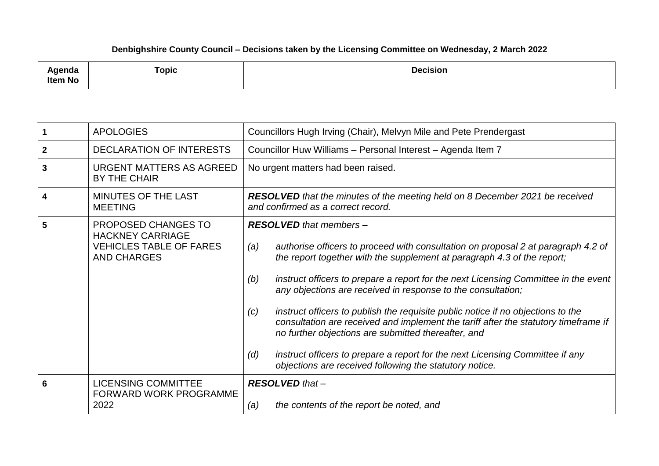## **Denbighshire County Council – Decisions taken by the Licensing Committee on Wednesday, 2 March 2022**

| <b>\genda</b><br><b>Item No</b> | <b>Topic</b> | <b>Decision</b> |
|---------------------------------|--------------|-----------------|
|---------------------------------|--------------|-----------------|

|              | <b>APOLOGIES</b>                                                                                       | Councillors Hugh Irving (Chair), Melvyn Mile and Pete Prendergast                                                                                                                                                                                                                                                                                                                                                                                                                                                                                                                                                                                                                                                                                               |
|--------------|--------------------------------------------------------------------------------------------------------|-----------------------------------------------------------------------------------------------------------------------------------------------------------------------------------------------------------------------------------------------------------------------------------------------------------------------------------------------------------------------------------------------------------------------------------------------------------------------------------------------------------------------------------------------------------------------------------------------------------------------------------------------------------------------------------------------------------------------------------------------------------------|
| $\mathbf{2}$ | DECLARATION OF INTERESTS                                                                               | Councillor Huw Williams - Personal Interest - Agenda Item 7                                                                                                                                                                                                                                                                                                                                                                                                                                                                                                                                                                                                                                                                                                     |
| 3            | URGENT MATTERS AS AGREED<br><b>BY THE CHAIR</b>                                                        | No urgent matters had been raised.                                                                                                                                                                                                                                                                                                                                                                                                                                                                                                                                                                                                                                                                                                                              |
| 4            | MINUTES OF THE LAST<br><b>MEETING</b>                                                                  | <b>RESOLVED</b> that the minutes of the meeting held on 8 December 2021 be received<br>and confirmed as a correct record.                                                                                                                                                                                                                                                                                                                                                                                                                                                                                                                                                                                                                                       |
| 5            | PROPOSED CHANGES TO<br><b>HACKNEY CARRIAGE</b><br><b>VEHICLES TABLE OF FARES</b><br><b>AND CHARGES</b> | <b>RESOLVED</b> that members -<br>authorise officers to proceed with consultation on proposal 2 at paragraph 4.2 of<br>(a)<br>the report together with the supplement at paragraph 4.3 of the report;<br>instruct officers to prepare a report for the next Licensing Committee in the event<br>(b)<br>any objections are received in response to the consultation;<br>instruct officers to publish the requisite public notice if no objections to the<br>(c)<br>consultation are received and implement the tariff after the statutory timeframe if<br>no further objections are submitted thereafter, and<br>instruct officers to prepare a report for the next Licensing Committee if any<br>(d)<br>objections are received following the statutory notice. |
| 6            | <b>LICENSING COMMITTEE</b><br><b>FORWARD WORK PROGRAMME</b><br>2022                                    | <b>RESOLVED</b> that -<br>the contents of the report be noted, and<br>(a)                                                                                                                                                                                                                                                                                                                                                                                                                                                                                                                                                                                                                                                                                       |